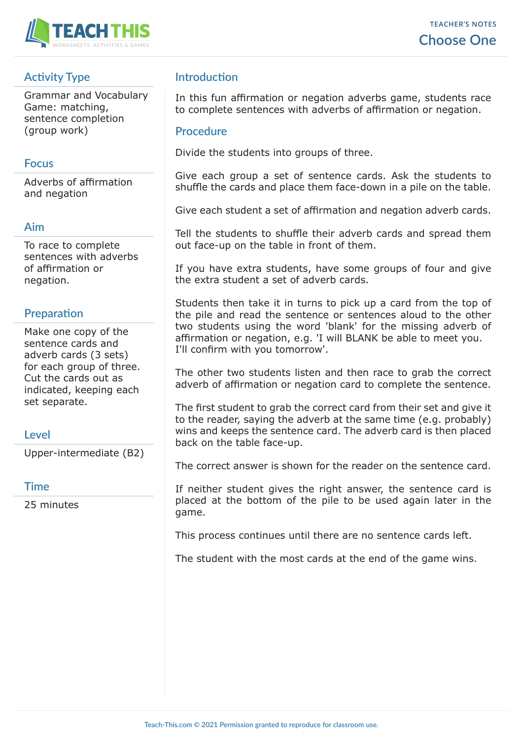

## **Activity Type**

Grammar and Vocabulary Game: matching, sentence completion (group work)

#### **Focus**

Adverbs of affirmation and negation

#### **Aim**

To race to complete sentences with adverbs of affirmation or negation.

## **Preparation**

Make one copy of the sentence cards and adverb cards (3 sets) for each group of three. Cut the cards out as indicated, keeping each set separate.

## **Level**

Upper-intermediate (B2)

#### **Time**

25 minutes

## **Introduction**

In this fun affirmation or negation adverbs game, students race to complete sentences with adverbs of affirmation or negation.

#### **Procedure**

Divide the students into groups of three.

Give each group a set of sentence cards. Ask the students to shuffle the cards and place them face-down in a pile on the table.

Give each student a set of affirmation and negation adverb cards.

Tell the students to shuffle their adverb cards and spread them out face-up on the table in front of them.

If you have extra students, have some groups of four and give the extra student a set of adverb cards.

Students then take it in turns to pick up a card from the top of the pile and read the sentence or sentences aloud to the other two students using the word 'blank' for the missing adverb of affirmation or negation, e.g. 'I will BLANK be able to meet you. I'll confirm with you tomorrow'.

The other two students listen and then race to grab the correct adverb of affirmation or negation card to complete the sentence.

The first student to grab the correct card from their set and give it to the reader, saying the adverb at the same time (e.g. probably) wins and keeps the sentence card. The adverb card is then placed back on the table face-up.

The correct answer is shown for the reader on the sentence card.

If neither student gives the right answer, the sentence card is placed at the bottom of the pile to be used again later in the game.

This process continues until there are no sentence cards left.

The student with the most cards at the end of the game wins.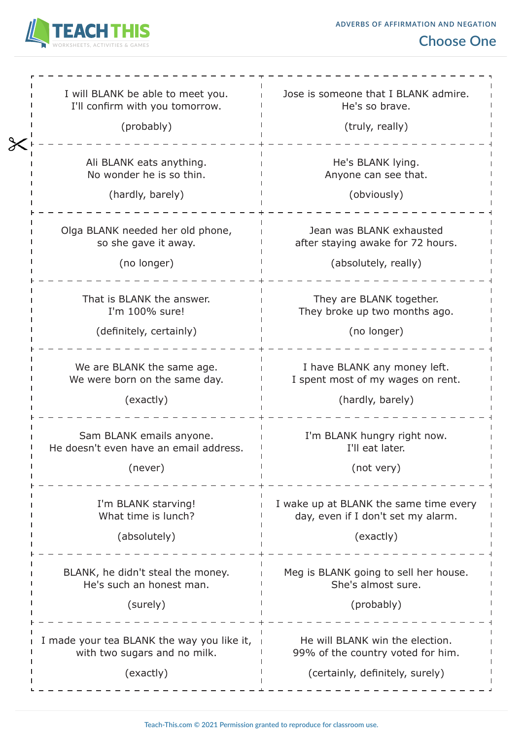

| I will BLANK be able to meet you.<br>I'll confirm with you tomorrow.<br>(probably)      | Jose is someone that I BLANK admire.<br>He's so brave.<br>(truly, really)                               |  |
|-----------------------------------------------------------------------------------------|---------------------------------------------------------------------------------------------------------|--|
| Ali BLANK eats anything.<br>No wonder he is so thin.<br>(hardly, barely)                | He's BLANK lying.<br>Anyone can see that.<br>(obviously)                                                |  |
| Olga BLANK needed her old phone,<br>so she gave it away.<br>(no longer)                 | Jean was BLANK exhausted<br>after staying awake for 72 hours.<br>(absolutely, really)                   |  |
| That is BLANK the answer.<br>I'm 100% sure!<br>(definitely, certainly)                  | They are BLANK together.<br>They broke up two months ago.<br>(no longer)                                |  |
| We are BLANK the same age.<br>We were born on the same day.<br>(exactly)                | I have BLANK any money left.<br>I spent most of my wages on rent.<br>(hardly, barely)                   |  |
| Sam BLANK emails anyone.<br>He doesn't even have an email address.<br>(never)           | I'm BLANK hungry right now.<br>I'll eat later.<br>(not very)                                            |  |
| I'm BLANK starving!<br>What time is lunch?<br>(absolutely)                              | I wake up at BLANK the same time every<br>day, even if I don't set my alarm.<br>(exactly)               |  |
| BLANK, he didn't steal the money.<br>He's such an honest man.<br>(surely)               | Meg is BLANK going to sell her house.<br>She's almost sure.<br>(probably)                               |  |
| I made your tea BLANK the way you like it,<br>with two sugars and no milk.<br>(exactly) | He will BLANK win the election.<br>99% of the country voted for him.<br>(certainly, definitely, surely) |  |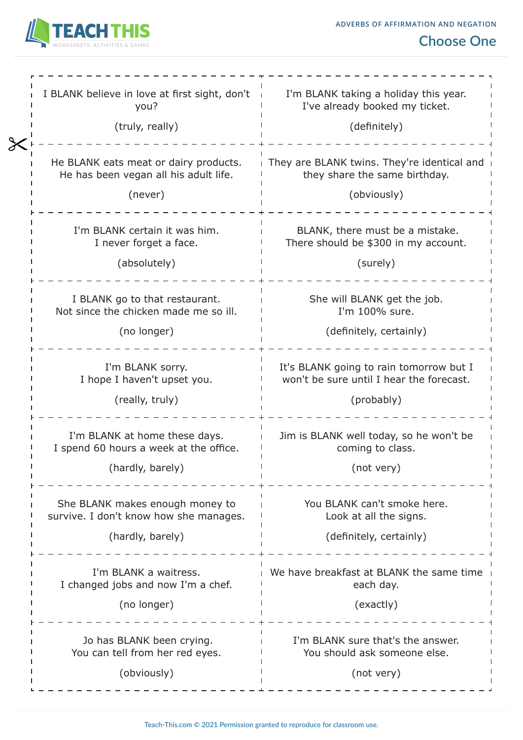

# **Choose One**

| I BLANK believe in love at first sight, don't<br>you?<br>(truly, really)                  | I'm BLANK taking a holiday this year.<br>I've already booked my ticket.<br>(definitely)           |  |
|-------------------------------------------------------------------------------------------|---------------------------------------------------------------------------------------------------|--|
| He BLANK eats meat or dairy products.<br>He has been vegan all his adult life.<br>(never) | They are BLANK twins. They're identical and<br>they share the same birthday.<br>(obviously)       |  |
| I'm BLANK certain it was him.<br>I never forget a face.<br>(absolutely)                   | BLANK, there must be a mistake.<br>There should be \$300 in my account.<br>(surely)               |  |
| I BLANK go to that restaurant.<br>Not since the chicken made me so ill.<br>(no longer)    | She will BLANK get the job.<br>I'm 100% sure.<br>(definitely, certainly)                          |  |
| I'm BLANK sorry.<br>I hope I haven't upset you.<br>(really, truly)                        | It's BLANK going to rain tomorrow but I<br>won't be sure until I hear the forecast.<br>(probably) |  |
| I'm BLANK at home these days.<br>I spend 60 hours a week at the office.                   | Jim is BLANK well today, so he won't be<br>coming to class.                                       |  |
| (hardly, barely)                                                                          | (not very)                                                                                        |  |
| She BLANK makes enough money to<br>survive. I don't know how she manages.                 | You BLANK can't smoke here.<br>Look at all the signs.                                             |  |
| (hardly, barely)                                                                          | (definitely, certainly)                                                                           |  |
| I'm BLANK a waitress.<br>I changed jobs and now I'm a chef.                               | We have breakfast at BLANK the same time<br>each day.                                             |  |
| (no longer)                                                                               | (exactly)                                                                                         |  |
| Jo has BLANK been crying.<br>You can tell from her red eyes.<br>(obviously)               | I'm BLANK sure that's the answer.<br>You should ask someone else.<br>(not very)                   |  |
|                                                                                           |                                                                                                   |  |